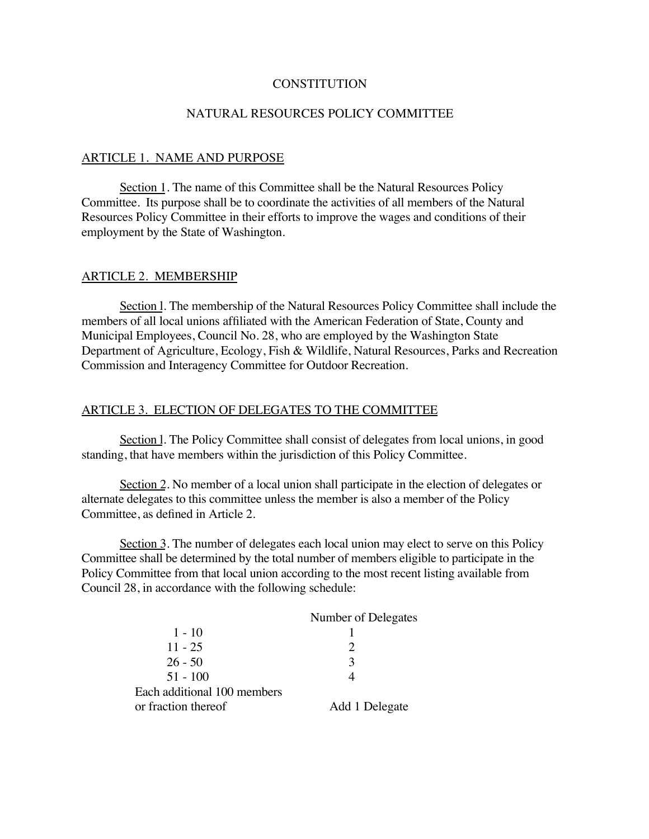### **CONSTITUTION**

### NATURAL RESOURCES POLICY COMMITTEE

#### ARTICLE 1. NAME AND PURPOSE

Section 1. The name of this Committee shall be the Natural Resources Policy Committee. Its purpose shall be to coordinate the activities of all members of the Natural Resources Policy Committee in their efforts to improve the wages and conditions of their employment by the State of Washington.

### ARTICLE 2. MEMBERSHIP

Section l. The membership of the Natural Resources Policy Committee shall include the members of all local unions affiliated with the American Federation of State, County and Municipal Employees, Council No. 28, who are employed by the Washington State Department of Agriculture, Ecology, Fish & Wildlife, Natural Resources, Parks and Recreation Commission and Interagency Committee for Outdoor Recreation.

### ARTICLE 3. ELECTION OF DELEGATES TO THE COMMITTEE

Section l. The Policy Committee shall consist of delegates from local unions, in good standing, that have members within the jurisdiction of this Policy Committee.

Section 2. No member of a local union shall participate in the election of delegates or alternate delegates to this committee unless the member is also a member of the Policy Committee, as defined in Article 2.

Section 3. The number of delegates each local union may elect to serve on this Policy Committee shall be determined by the total number of members eligible to participate in the Policy Committee from that local union according to the most recent listing available from Council 28, in accordance with the following schedule:

| Number of Delegates |
|---------------------|
|                     |
|                     |
| $\mathcal{R}$       |
|                     |
|                     |
| Add 1 Delegate      |
|                     |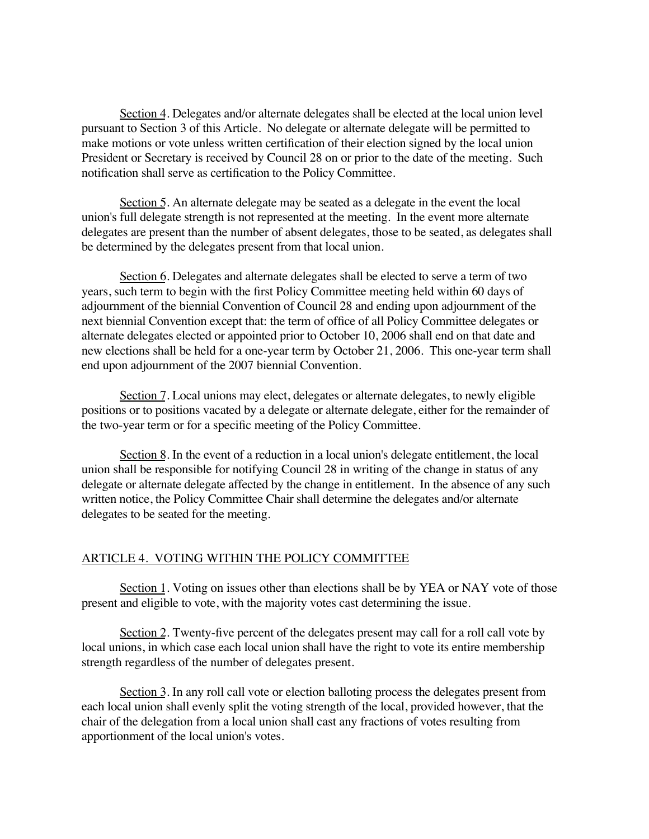Section 4. Delegates and/or alternate delegates shall be elected at the local union level pursuant to Section 3 of this Article. No delegate or alternate delegate will be permitted to make motions or vote unless written certification of their election signed by the local union President or Secretary is received by Council 28 on or prior to the date of the meeting. Such notification shall serve as certification to the Policy Committee.

Section 5. An alternate delegate may be seated as a delegate in the event the local union's full delegate strength is not represented at the meeting. In the event more alternate delegates are present than the number of absent delegates, those to be seated, as delegates shall be determined by the delegates present from that local union.

Section 6. Delegates and alternate delegates shall be elected to serve a term of two years, such term to begin with the first Policy Committee meeting held within 60 days of adjournment of the biennial Convention of Council 28 and ending upon adjournment of the next biennial Convention except that: the term of office of all Policy Committee delegates or alternate delegates elected or appointed prior to October 10, 2006 shall end on that date and new elections shall be held for a one-year term by October 21, 2006. This one-year term shall end upon adjournment of the 2007 biennial Convention.

Section 7. Local unions may elect, delegates or alternate delegates, to newly eligible positions or to positions vacated by a delegate or alternate delegate, either for the remainder of the two-year term or for a specific meeting of the Policy Committee.

Section 8. In the event of a reduction in a local union's delegate entitlement, the local union shall be responsible for notifying Council 28 in writing of the change in status of any delegate or alternate delegate affected by the change in entitlement. In the absence of any such written notice, the Policy Committee Chair shall determine the delegates and/or alternate delegates to be seated for the meeting.

### ARTICLE 4. VOTING WITHIN THE POLICY COMMITTEE

Section 1. Voting on issues other than elections shall be by YEA or NAY vote of those present and eligible to vote, with the majority votes cast determining the issue.

Section 2. Twenty-five percent of the delegates present may call for a roll call vote by local unions, in which case each local union shall have the right to vote its entire membership strength regardless of the number of delegates present.

Section 3. In any roll call vote or election balloting process the delegates present from each local union shall evenly split the voting strength of the local, provided however, that the chair of the delegation from a local union shall cast any fractions of votes resulting from apportionment of the local union's votes.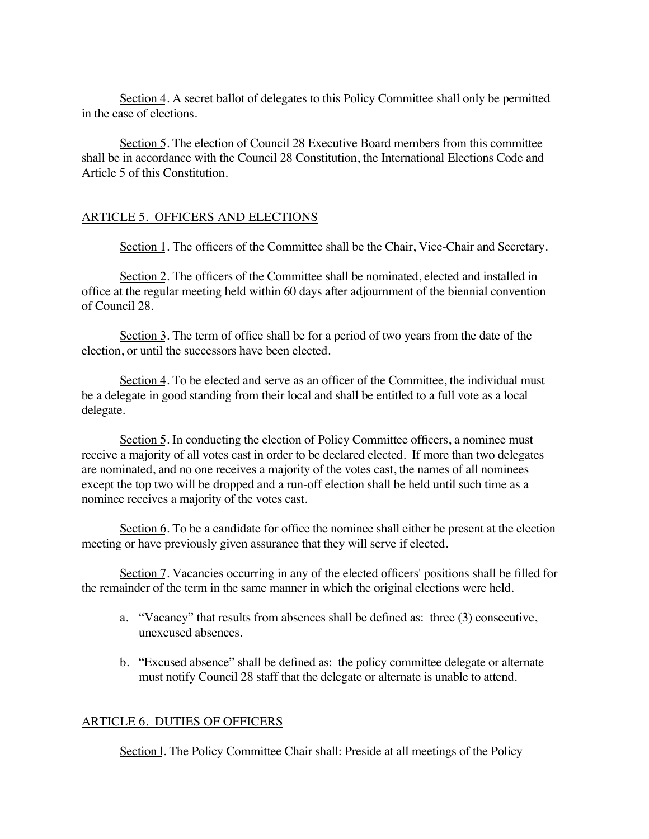Section 4. A secret ballot of delegates to this Policy Committee shall only be permitted in the case of elections.

Section 5. The election of Council 28 Executive Board members from this committee shall be in accordance with the Council 28 Constitution, the International Elections Code and Article 5 of this Constitution.

# ARTICLE 5. OFFICERS AND ELECTIONS

Section 1. The officers of the Committee shall be the Chair, Vice-Chair and Secretary.

Section 2. The officers of the Committee shall be nominated, elected and installed in office at the regular meeting held within 60 days after adjournment of the biennial convention of Council 28.

Section 3. The term of office shall be for a period of two years from the date of the election, or until the successors have been elected.

Section 4. To be elected and serve as an officer of the Committee, the individual must be a delegate in good standing from their local and shall be entitled to a full vote as a local delegate.

Section 5. In conducting the election of Policy Committee officers, a nominee must receive a majority of all votes cast in order to be declared elected. If more than two delegates are nominated, and no one receives a majority of the votes cast, the names of all nominees except the top two will be dropped and a run-off election shall be held until such time as a nominee receives a majority of the votes cast.

Section 6. To be a candidate for office the nominee shall either be present at the election meeting or have previously given assurance that they will serve if elected.

Section 7. Vacancies occurring in any of the elected officers' positions shall be filled for the remainder of the term in the same manner in which the original elections were held.

- a. "Vacancy" that results from absences shall be defined as: three (3) consecutive, unexcused absences.
- b. "Excused absence" shall be defined as: the policy committee delegate or alternate must notify Council 28 staff that the delegate or alternate is unable to attend.

# ARTICLE 6. DUTIES OF OFFICERS

Section 1. The Policy Committee Chair shall: Preside at all meetings of the Policy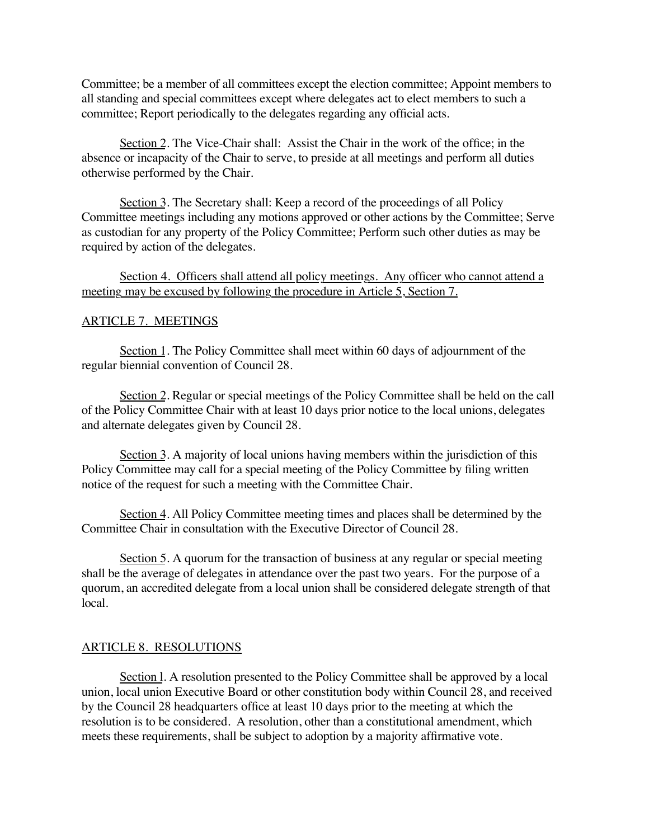Committee; be a member of all committees except the election committee; Appoint members to all standing and special committees except where delegates act to elect members to such a committee; Report periodically to the delegates regarding any official acts.

Section 2. The Vice-Chair shall: Assist the Chair in the work of the office; in the absence or incapacity of the Chair to serve, to preside at all meetings and perform all duties otherwise performed by the Chair.

Section 3. The Secretary shall: Keep a record of the proceedings of all Policy Committee meetings including any motions approved or other actions by the Committee; Serve as custodian for any property of the Policy Committee; Perform such other duties as may be required by action of the delegates.

# Section 4. Officers shall attend all policy meetings. Any officer who cannot attend a meeting may be excused by following the procedure in Article 5, Section 7.

#### ARTICLE 7. MEETINGS

Section 1. The Policy Committee shall meet within 60 days of adjournment of the regular biennial convention of Council 28.

Section 2. Regular or special meetings of the Policy Committee shall be held on the call of the Policy Committee Chair with at least 10 days prior notice to the local unions, delegates and alternate delegates given by Council 28.

Section 3. A majority of local unions having members within the jurisdiction of this Policy Committee may call for a special meeting of the Policy Committee by filing written notice of the request for such a meeting with the Committee Chair.

Section 4. All Policy Committee meeting times and places shall be determined by the Committee Chair in consultation with the Executive Director of Council 28.

Section 5. A quorum for the transaction of business at any regular or special meeting shall be the average of delegates in attendance over the past two years. For the purpose of a quorum, an accredited delegate from a local union shall be considered delegate strength of that local.

#### ARTICLE 8. RESOLUTIONS

Section l. A resolution presented to the Policy Committee shall be approved by a local union, local union Executive Board or other constitution body within Council 28, and received by the Council 28 headquarters office at least 10 days prior to the meeting at which the resolution is to be considered. A resolution, other than a constitutional amendment, which meets these requirements, shall be subject to adoption by a majority affirmative vote.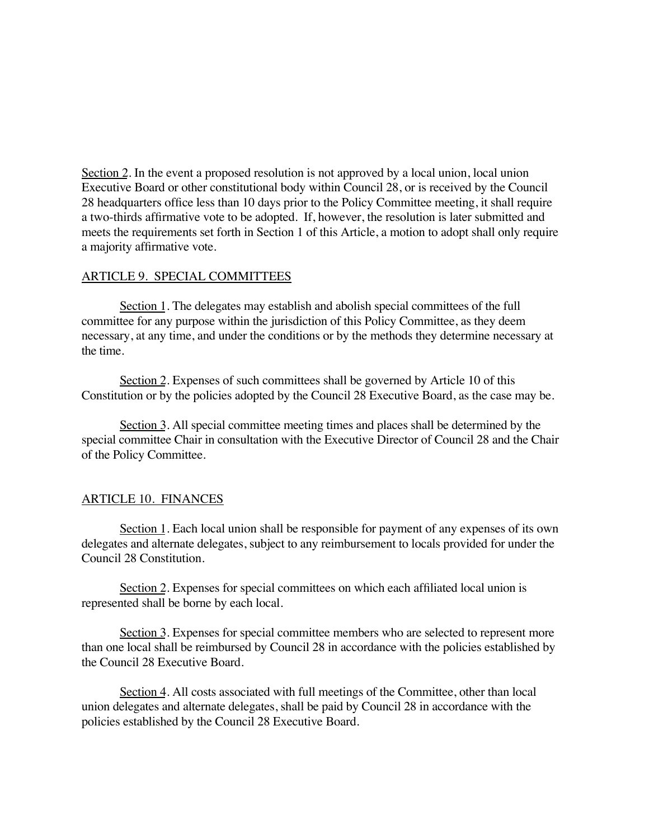Section 2. In the event a proposed resolution is not approved by a local union, local union Executive Board or other constitutional body within Council 28, or is received by the Council 28 headquarters office less than 10 days prior to the Policy Committee meeting, it shall require a two-thirds affirmative vote to be adopted. If, however, the resolution is later submitted and meets the requirements set forth in Section 1 of this Article, a motion to adopt shall only require a majority affirmative vote.

# ARTICLE 9. SPECIAL COMMITTEES

Section 1. The delegates may establish and abolish special committees of the full committee for any purpose within the jurisdiction of this Policy Committee, as they deem necessary, at any time, and under the conditions or by the methods they determine necessary at the time.

Section 2. Expenses of such committees shall be governed by Article 10 of this Constitution or by the policies adopted by the Council 28 Executive Board, as the case may be.

Section 3. All special committee meeting times and places shall be determined by the special committee Chair in consultation with the Executive Director of Council 28 and the Chair of the Policy Committee.

### ARTICLE 10. FINANCES

Section 1. Each local union shall be responsible for payment of any expenses of its own delegates and alternate delegates, subject to any reimbursement to locals provided for under the Council 28 Constitution.

Section 2. Expenses for special committees on which each affiliated local union is represented shall be borne by each local.

Section 3. Expenses for special committee members who are selected to represent more than one local shall be reimbursed by Council 28 in accordance with the policies established by the Council 28 Executive Board.

Section 4. All costs associated with full meetings of the Committee, other than local union delegates and alternate delegates, shall be paid by Council 28 in accordance with the policies established by the Council 28 Executive Board.